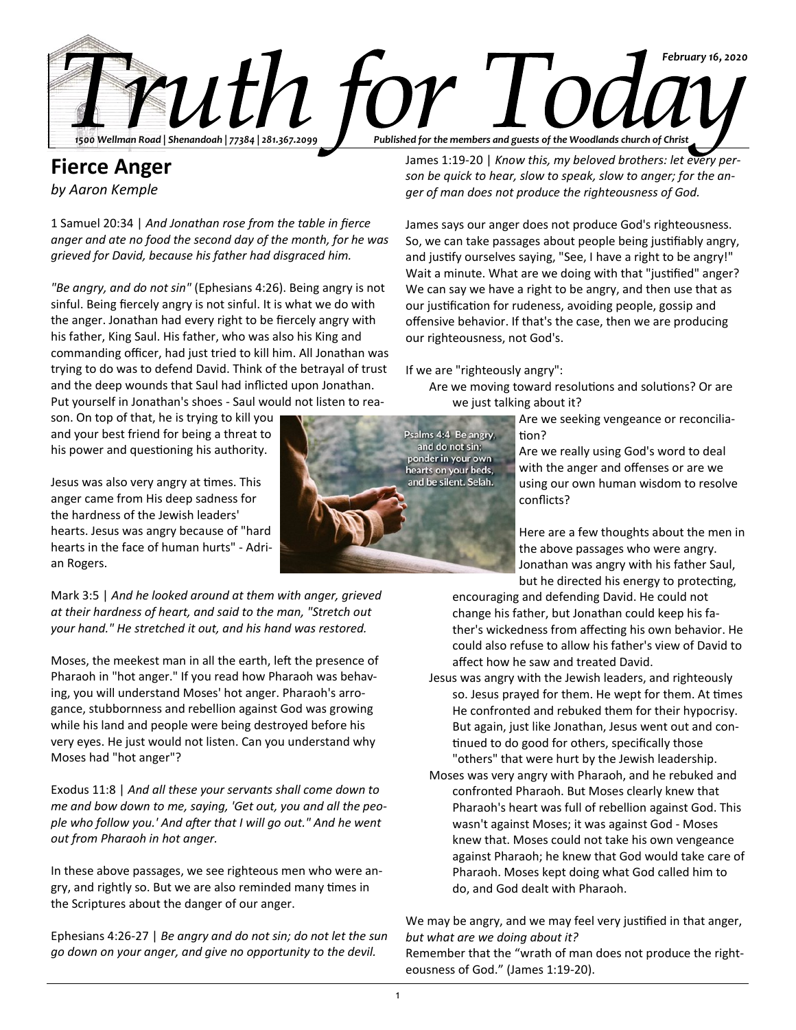

## **Fierce Anger**

*by Aaron Kemple*

1 Samuel 20:34 | *And Jonathan rose from the table in fierce anger and ate no food the second day of the month, for he was grieved for David, because his father had disgraced him.*

*"Be angry, and do not sin"* (Ephesians 4:26). Being angry is not sinful. Being fiercely angry is not sinful. It is what we do with the anger. Jonathan had every right to be fiercely angry with his father, King Saul. His father, who was also his King and commanding officer, had just tried to kill him. All Jonathan was trying to do was to defend David. Think of the betrayal of trust and the deep wounds that Saul had inflicted upon Jonathan. Put yourself in Jonathan's shoes - Saul would not listen to rea-

son. On top of that, he is trying to kill you and your best friend for being a threat to his power and questioning his authority.

Jesus was also very angry at times. This anger came from His deep sadness for the hardness of the Jewish leaders' hearts. Jesus was angry because of "hard hearts in the face of human hurts" - Adrian Rogers.

Mark 3:5 | *And he looked around at them with anger, grieved at their hardness of heart, and said to the man, "Stretch out your hand." He stretched it out, and his hand was restored.*

Moses, the meekest man in all the earth, left the presence of Pharaoh in "hot anger." If you read how Pharaoh was behaving, you will understand Moses' hot anger. Pharaoh's arrogance, stubbornness and rebellion against God was growing while his land and people were being destroyed before his very eyes. He just would not listen. Can you understand why Moses had "hot anger"?

Exodus 11:8 | *And all these your servants shall come down to me and bow down to me, saying, 'Get out, you and all the people who follow you.' And after that I will go out." And he went out from Pharaoh in hot anger.*

In these above passages, we see righteous men who were angry, and rightly so. But we are also reminded many times in the Scriptures about the danger of our anger.

Ephesians 4:26-27 | *Be angry and do not sin; do not let the sun go down on your anger, and give no opportunity to the devil.*

James 1:19-20 | *Know this, my beloved brothers: let every person be quick to hear, slow to speak, slow to anger; for the anger of man does not produce the righteousness of God.*

James says our anger does not produce God's righteousness. So, we can take passages about people being justifiably angry, and justify ourselves saying, "See, I have a right to be angry!" Wait a minute. What are we doing with that "justified" anger? We can say we have a right to be angry, and then use that as our justification for rudeness, avoiding people, gossip and offensive behavior. If that's the case, then we are producing our righteousness, not God's.

If we are "righteously angry":

Are we moving toward resolutions and solutions? Or are we just talking about it?

> Are we seeking vengeance or reconciliation?

Are we really using God's word to deal with the anger and offenses or are we using our own human wisdom to resolve conflicts?

Here are a few thoughts about the men in the above passages who were angry. Jonathan was angry with his father Saul, but he directed his energy to protecting,

encouraging and defending David. He could not change his father, but Jonathan could keep his father's wickedness from affecting his own behavior. He could also refuse to allow his father's view of David to affect how he saw and treated David.

- Jesus was angry with the Jewish leaders, and righteously so. Jesus prayed for them. He wept for them. At times He confronted and rebuked them for their hypocrisy. But again, just like Jonathan, Jesus went out and continued to do good for others, specifically those "others" that were hurt by the Jewish leadership.
- Moses was very angry with Pharaoh, and he rebuked and confronted Pharaoh. But Moses clearly knew that Pharaoh's heart was full of rebellion against God. This wasn't against Moses; it was against God - Moses knew that. Moses could not take his own vengeance against Pharaoh; he knew that God would take care of Pharaoh. Moses kept doing what God called him to do, and God dealt with Pharaoh.

We may be angry, and we may feel very justified in that anger, *but what are we doing about it?*

Remember that the "wrath of man does not produce the righteousness of God." (James 1:19-20).